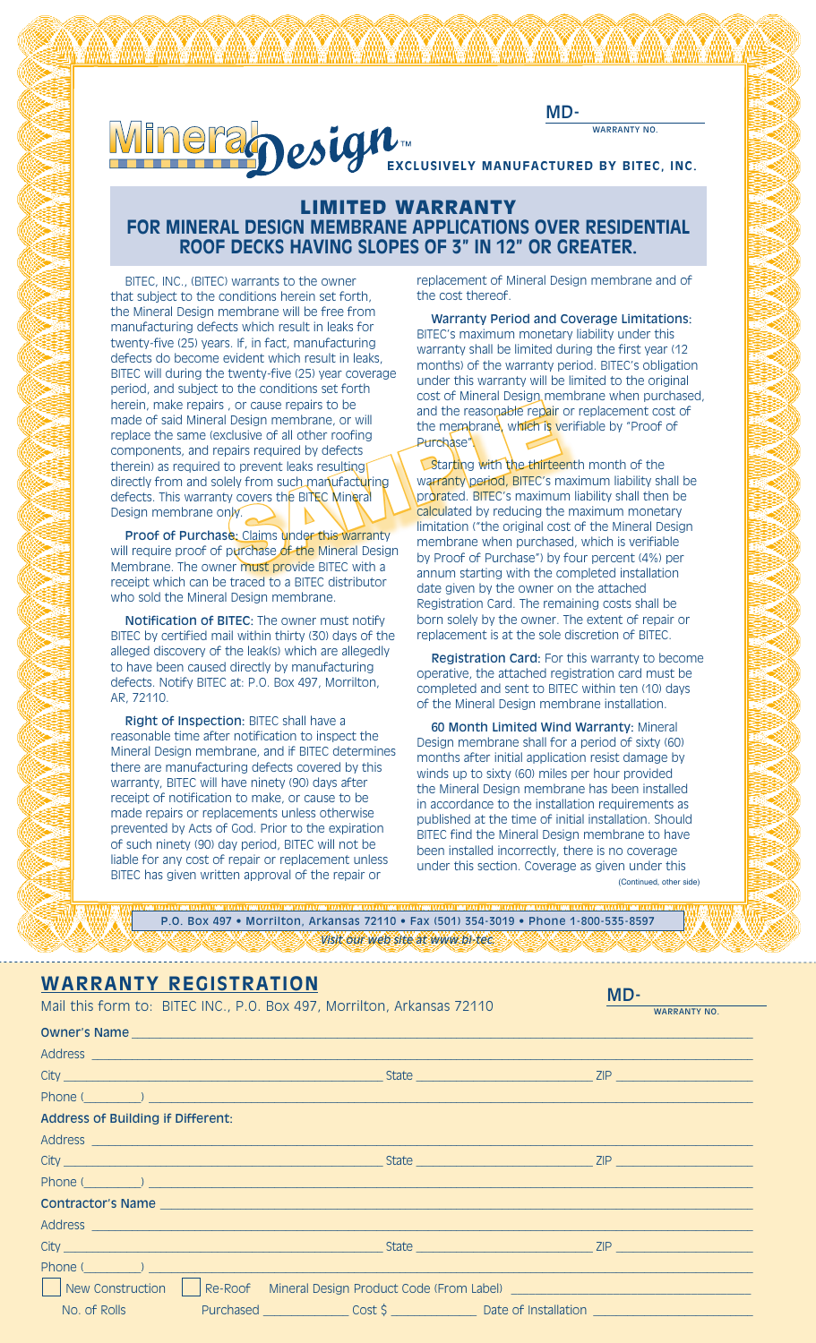



will waard waard in the this was a series to the this waard in the this was a series of the this was in the this<br>This was a series of the thing was a series of the thing was the thing was a series of the thing was the thin

## LIMITED WARRANTY **FOR MINERAL DESIGN MEMBRANE APPLICATIONS OVER RESIDENTIAL ROOF DECKS HAVING SLOPES OF 3" IN 12" OR GREATER.**

BITEC, INC., (BITEC) warrants to the owner that subject to the conditions herein set forth, the Mineral Design membrane will be free from manufacturing defects which result in leaks for twenty-five (25) years. If, in fact, manufacturing defects do become evident which result in leaks, BITEC will during the twenty-five (25) year coverage period, and subject to the conditions set forth herein, make repairs , or cause repairs to be made of said Mineral Design membrane, or will replace the same (exclusive of all other roofing components, and repairs required by defects therein) as required to prevent leaks resulting directly from and solely from such manufacturing defects. This warranty covers the BITEC Mineral Design membrane only. Figure 1998<br>
SAMPLE CRISE TO THE MET TOOP OF PUCKS THE MET TOWER THE MANUSCRIPT OF THE CRISE OF THE MANUSCRIPT OF THE CRISE OF THE MANUSCRIPT OF THE CRISE OF THE MANUSCRIPT OF THE MANUSCRIPT OF THE MANUSCRIPT OF THE MANUSC

Proof of Purchase: Claims under this warranty will require proof of purchase of the Mineral Design Membrane. The owner must provide BITEC with a receipt which can be traced to a BITEC distributor who sold the Mineral Design membrane.

Notification of BITEC: The owner must notify BITEC by certified mail within thirty (30) days of the alleged discovery of the leak(s) which are allegedly to have been caused directly by manufacturing defects. Notify BITEC at: P.O. Box 497, Morrilton, AR, 72110.

Right of Inspection: BITEC shall have a reasonable time after notification to inspect the Mineral Design membrane, and if BITEC determines there are manufacturing defects covered by this warranty, BITEC will have ninety (90) days after receipt of notification to make, or cause to be made repairs or replacements unless otherwise prevented by Acts of God. Prior to the expiration of such ninety (90) day period, BITEC will not be liable for any cost of repair or replacement unless BITEC has given written approval of the repair or

replacement of Mineral Design membrane and of the cost thereof.

Warranty Period and Coverage Limitations: BITEC's maximum monetary liability under this warranty shall be limited during the first year (12 months) of the warranty period. BITEC's obligation under this warranty will be limited to the original cost of Mineral Design membrane when purchased, and the reasonable repair or replacement cost of the membrane, which is verifiable by "Proof of Purchase<sup>\*</sup>

Starting with the thirteenth month of the warranty period, BITEC's maximum liability shall be prorated. BITEC's maximum liability shall then be calculated by reducing the maximum monetary limitation ("the original cost of the Mineral Design membrane when purchased, which is verifiable by Proof of Purchase") by four percent (4%) per annum starting with the completed installation date given by the owner on the attached Registration Card. The remaining costs shall be born solely by the owner. The extent of repair or replacement is at the sole discretion of BITEC.

Registration Card: For this warranty to become operative, the attached registration card must be completed and sent to BITEC within ten (10) days of the Mineral Design membrane installation.

60 Month Limited Wind Warranty: Mineral Design membrane shall for a period of sixty (60) months after initial application resist damage by winds up to sixty (60) miles per hour provided the Mineral Design membrane has been installed in accordance to the installation requirements as published at the time of initial installation. Should BITEC find the Mineral Design membrane to have been installed incorrectly, there is no coverage under this section. Coverage as given under this

(Continued, other side)

MD-

P.O. Box 497 • Morrilton, Arkansas 72110 • Fax (501) 354-3019 • Phone 1-800-535-8597 *Visit our web site at www.bi-tec.* 

## **Warranty Registration**

| Mail this form to: BITEC INC., P.O. Box 497, Morrilton, Arkansas 72110 |  |                                                                                                                                                                                                                                      |  | <b>WARRANTY NO.</b> |  |
|------------------------------------------------------------------------|--|--------------------------------------------------------------------------------------------------------------------------------------------------------------------------------------------------------------------------------------|--|---------------------|--|
|                                                                        |  |                                                                                                                                                                                                                                      |  |                     |  |
|                                                                        |  | Owner's Name entry and the contract of the contract of the contract of the contract of the contract of the contract of the contract of the contract of the contract of the contract of the contract of the contract of the con       |  |                     |  |
|                                                                        |  | Address entrance and a series of the series of the series of the series of the series of the series of the series of the series of the series of the series of the series of the series of the series of the series of the ser       |  |                     |  |
|                                                                        |  |                                                                                                                                                                                                                                      |  |                     |  |
|                                                                        |  | Phone (education and education and education and environmental contract and environmental contract and environmental contract of the contract of the contract of the contract of the contract of the contract of the contract        |  |                     |  |
| Address of Building if Different:                                      |  |                                                                                                                                                                                                                                      |  |                     |  |
|                                                                        |  | Address entertainment and the contract of the contract of the contract of the contract of the contract of the                                                                                                                        |  |                     |  |
|                                                                        |  |                                                                                                                                                                                                                                      |  |                     |  |
|                                                                        |  | Phone (education) and the contract of the contract of the contract of the contract of the contract of the contract of the contract of the contract of the contract of the contract of the contract of the contract of the cont       |  |                     |  |
|                                                                        |  |                                                                                                                                                                                                                                      |  |                     |  |
|                                                                        |  |                                                                                                                                                                                                                                      |  |                     |  |
|                                                                        |  |                                                                                                                                                                                                                                      |  |                     |  |
|                                                                        |  | Phone ( <u>Channel Channel Channel Channel</u> Channel Channel Channel Channel Channel Channel Channel Channel Channel Channel Channel Channel Channel Channel Channel Channel Channel Channel Channel Channel Channel Channel Chann |  |                     |  |
|                                                                        |  | New Construction   Re-Roof Mineral Design Product Code (From Label)   New Construction   Re-Roof Mineral Design Product Code (From Label)                                                                                            |  |                     |  |
|                                                                        |  |                                                                                                                                                                                                                                      |  |                     |  |